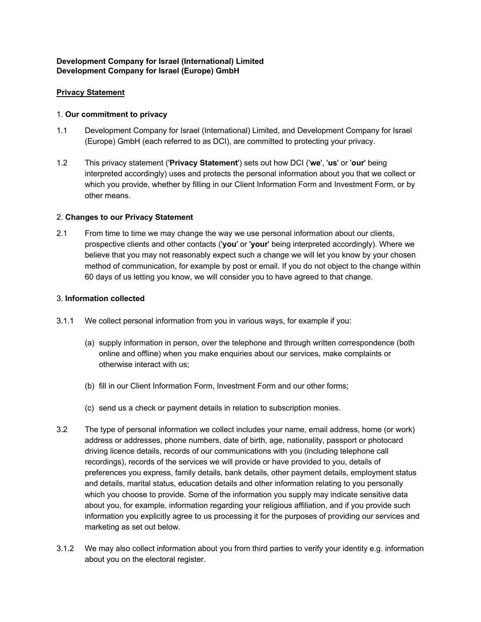## **Development Company for Israel (International) Limited Development Company for Israel (Europe) GmbH**

## **Privacy Statement**

#### 1. **Our commitment to privacy**

- 1.1 Development Company for Israel (International) Limited, and Development Company for Israel (Europe) GmbH (each referred to as DCI), are committed to protecting your privacy.
- 1.2 This privacy statement ('**Privacy Statement**') sets out how DCI ('**we**', '**us**' or '**our**' being interpreted accordingly) uses and protects the personal information about you that we collect or which you provide, whether by filling in our Client Information Form and Investment Form, or by other means.

#### 2. **Changes to our Privacy Statement**

2.1 From time to time we may change the way we use personal information about our clients, prospective clients and other contacts ('**you**' or '**your**' being interpreted accordingly). Where we believe that you may not reasonably expect such a change we will let you know by your chosen method of communication, for example by post or email. If you do not object to the change within 60 days of us letting you know, we will consider you to have agreed to that change.

#### 3. **Information collected**

- 3.1.1 We collect personal information from you in various ways, for example if you:
	- (a) supply information in person, over the telephone and through written correspondence (both online and offline) when you make enquiries about our services, make complaints or otherwise interact with us;
	- (b) fill in our Client Information Form, Investment Form and our other forms;
	- (c) send us a check or payment details in relation to subscription monies.
- 3.2 The type of personal information we collect includes your name, email address, home (or work) address or addresses, phone numbers, date of birth, age, nationality, passport or photocard driving licence details, records of our communications with you (including telephone call recordings), records of the services we will provide or have provided to you, details of preferences you express, family details, bank details, other payment details, employment status and details, marital status, education details and other information relating to you personally which you choose to provide. Some of the information you supply may indicate sensitive data about you, for example, information regarding your religious affiliation, and if you provide such information you explicitly agree to us processing it for the purposes of providing our services and marketing as set out below.
- 3.1.2 We may also collect information about you from third parties to verify your identity e.g. information about you on the electoral register.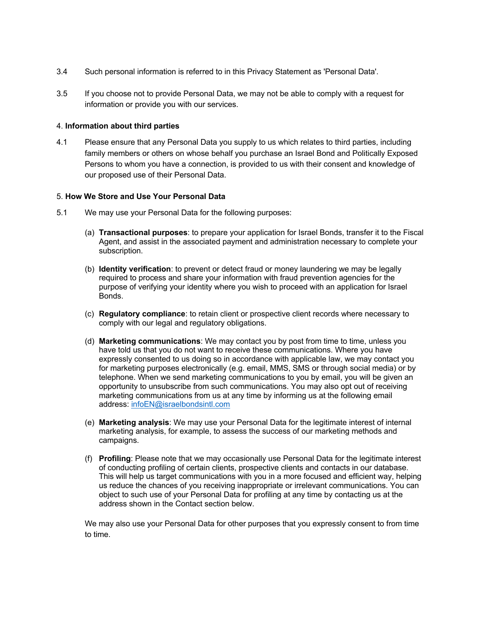- 3.4 Such personal information is referred to in this Privacy Statement as 'Personal Data'.
- 3.5 If you choose not to provide Personal Data, we may not be able to comply with a request for information or provide you with our services.

#### 4. **Information about third parties**

4.1 Please ensure that any Personal Data you supply to us which relates to third parties, including family members or others on whose behalf you purchase an Israel Bond and Politically Exposed Persons to whom you have a connection, is provided to us with their consent and knowledge of our proposed use of their Personal Data.

#### 5. **How We Store and Use Your Personal Data**

- 5.1 We may use your Personal Data for the following purposes:
	- (a) **Transactional purposes**: to prepare your application for Israel Bonds, transfer it to the Fiscal Agent, and assist in the associated payment and administration necessary to complete your subscription.
	- (b) **Identity verification**: to prevent or detect fraud or money laundering we may be legally required to process and share your information with fraud prevention agencies for the purpose of verifying your identity where you wish to proceed with an application for Israel Bonds.
	- (c) **Regulatory compliance**: to retain client or prospective client records where necessary to comply with our legal and regulatory obligations.
	- (d) **Marketing communications**: We may contact you by post from time to time, unless you have told us that you do not want to receive these communications. Where you have expressly consented to us doing so in accordance with applicable law, we may contact you for marketing purposes electronically (e.g. email, MMS, SMS or through social media) or by telephone. When we send marketing communications to you by email, you will be given an opportunity to unsubscribe from such communications. You may also opt out of receiving marketing communications from us at any time by informing us at the following email address: [infoEN@israelbondsintl.com](mailto:infoEN@israelbondsintl.com)
	- (e) **Marketing analysis**: We may use your Personal Data for the legitimate interest of internal marketing analysis, for example, to assess the success of our marketing methods and campaigns.
	- (f) **Profiling**: Please note that we may occasionally use Personal Data for the legitimate interest of conducting profiling of certain clients, prospective clients and contacts in our database. This will help us target communications with you in a more focused and efficient way, helping us reduce the chances of you receiving inappropriate or irrelevant communications. You can object to such use of your Personal Data for profiling at any time by contacting us at the address shown in the Contact section below.

We may also use your Personal Data for other purposes that you expressly consent to from time to time.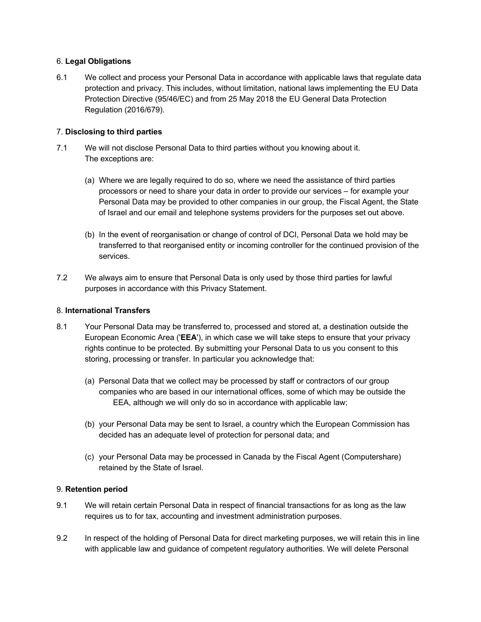### 6. **Legal Obligations**

6.1 We collect and process your Personal Data in accordance with applicable laws that regulate data protection and privacy. This includes, without limitation, national laws implementing the EU Data Protection Directive (95/46/EC) and from 25 May 2018 the EU General Data Protection Regulation (2016/679).

## 7. **Disclosing to third parties**

- 7.1 We will not disclose Personal Data to third parties without you knowing about it. The exceptions are:
	- (a) Where we are legally required to do so, where we need the assistance of third parties processors or need to share your data in order to provide our services – for example your Personal Data may be provided to other companies in our group, the Fiscal Agent, the State of Israel and our email and telephone systems providers for the purposes set out above.
	- (b) In the event of reorganisation or change of control of DCI, Personal Data we hold may be transferred to that reorganised entity or incoming controller for the continued provision of the services.
- 7.2 We always aim to ensure that Personal Data is only used by those third parties for lawful purposes in accordance with this Privacy Statement.

#### 8. **International Transfers**

- 8.1 Your Personal Data may be transferred to, processed and stored at, a destination outside the European Economic Area ('**EEA**'), in which case we will take steps to ensure that your privacy rights continue to be protected. By submitting your Personal Data to us you consent to this storing, processing or transfer. In particular you acknowledge that:
	- (a) Personal Data that we collect may be processed by staff or contractors of our group companies who are based in our international offices, some of which may be outside the EEA, although we will only do so in accordance with applicable law;
	- (b) your Personal Data may be sent to Israel, a country which the European Commission has decided has an adequate level of protection for personal data; and
	- (c) your Personal Data may be processed in Canada by the Fiscal Agent (Computershare) retained by the State of Israel.

#### 9. **Retention period**

- 9.1 We will retain certain Personal Data in respect of financial transactions for as long as the law requires us to for tax, accounting and investment administration purposes.
- 9.2 In respect of the holding of Personal Data for direct marketing purposes, we will retain this in line with applicable law and guidance of competent regulatory authorities. We will delete Personal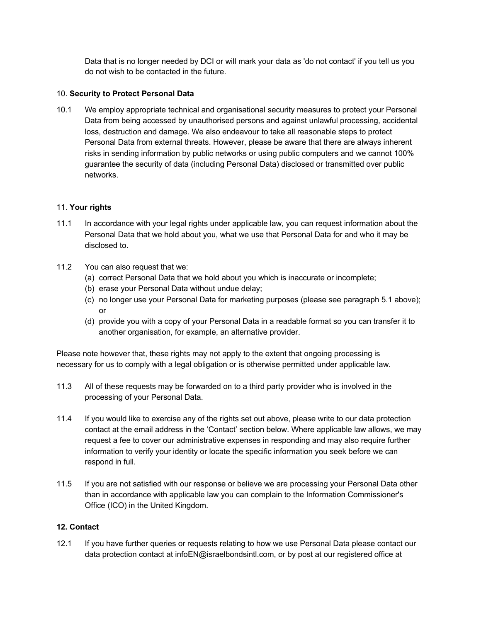Data that is no longer needed by DCI or will mark your data as 'do not contact' if you tell us you do not wish to be contacted in the future.

## 10. **Security to Protect Personal Data**

10.1 We employ appropriate technical and organisational security measures to protect your Personal Data from being accessed by unauthorised persons and against unlawful processing, accidental loss, destruction and damage. We also endeavour to take all reasonable steps to protect Personal Data from external threats. However, please be aware that there are always inherent risks in sending information by public networks or using public computers and we cannot 100% guarantee the security of data (including Personal Data) disclosed or transmitted over public networks.

# 11. **Your rights**

- 11.1 In accordance with your legal rights under applicable law, you can request information about the Personal Data that we hold about you, what we use that Personal Data for and who it may be disclosed to.
- 11.2 You can also request that we:
	- (a) correct Personal Data that we hold about you which is inaccurate or incomplete;
	- (b) erase your Personal Data without undue delay;
	- (c) no longer use your Personal Data for marketing purposes (please see paragraph 5.1 above); or
	- (d) provide you with a copy of your Personal Data in a readable format so you can transfer it to another organisation, for example, an alternative provider.

Please note however that, these rights may not apply to the extent that ongoing processing is necessary for us to comply with a legal obligation or is otherwise permitted under applicable law.

- 11.3 All of these requests may be forwarded on to a third party provider who is involved in the processing of your Personal Data.
- 11.4 If you would like to exercise any of the rights set out above, please write to our data protection contact at the email address in the 'Contact' section below. Where applicable law allows, we may request a fee to cover our administrative expenses in responding and may also require further information to verify your identity or locate the specific information you seek before we can respond in full.
- 11.5 If you are not satisfied with our response or believe we are processing your Personal Data other than in accordance with applicable law you can complain to the Information Commissioner's Office (ICO) in the United Kingdom.

# **12. Contact**

12.1 If you have further queries or requests relating to how we use Personal Data please contact our data protection contact at infoEN@israelbondsintl.com, or by post at our registered office at